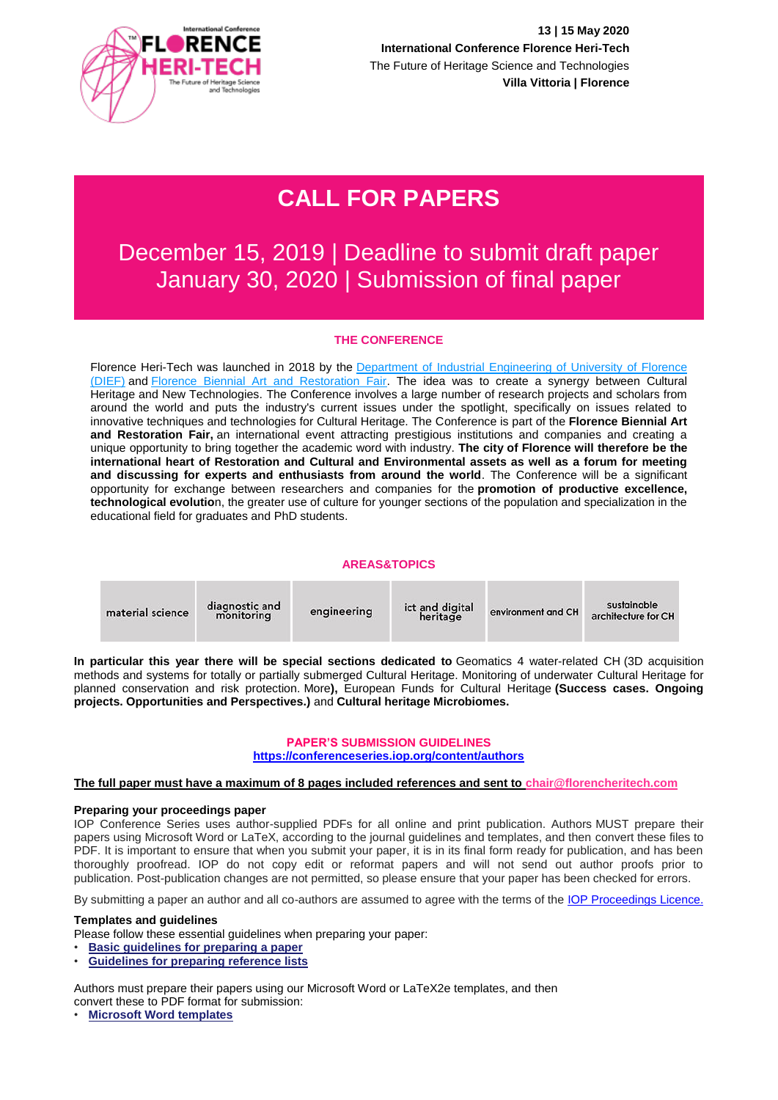

# **CALL FOR PAPERS**

## December 15, 2019 | Deadline to submit draft paper January 30, 2020 | Submission of final paper

## **THE CONFERENCE**

Florence Heri-Tech was launched in 2018 by the Department of Industrial Engineering of University of Florence [\(DIEF\)](https://www.dief.unifi.it/) and [Florence Biennial Art and Restoration Fair.](https://www.salonerestaurofirenze.com/restauro/2020/) The idea was to create a synergy between Cultural Heritage and New Technologies. The Conference involves a large number of research projects and scholars from around the world and puts the industry's current issues under the spotlight, specifically on issues related to innovative techniques and technologies for Cultural Heritage. The Conference is part of the **Florence Biennial Art and Restoration Fair,** an international event attracting prestigious institutions and companies and creating a unique opportunity to bring together the academic word with industry. **The city of Florence will therefore be the international heart of Restoration and Cultural and Environmental assets as well as a forum for meeting and discussing for experts and enthusiasts from around the world**. The Conference will be a significant opportunity for exchange between researchers and companies for the **promotion of productive excellence, technological evolutio**n, the greater use of culture for younger sections of the population and specialization in the educational field for graduates and PhD students.

#### **AREAS&TOPICS**

| material science | diagnostic and<br>monitoring | engineering | ict and digital<br>heritage | environment and CH | sustainable<br>architecture for CH |
|------------------|------------------------------|-------------|-----------------------------|--------------------|------------------------------------|
|                  |                              |             |                             |                    |                                    |

**In particular this year there will be special sections dedicated to** Geomatics 4 water-related CH (3D acquisition methods and systems for totally or partially submerged Cultural Heritage. Monitoring of underwater Cultural Heritage for planned conservation and risk protection. More**),** European Funds for Cultural Heritage **(Success cases. Ongoing projects. Opportunities and Perspectives.)** and **Cultural heritage Microbiomes.**

## **PAPER'S SUBMISSION GUIDELINES <https://conferenceseries.iop.org/content/authors>**

#### **The full paper must have a maximum of 8 pages included references and sent to [chair@florencheritech.com](mailto:chair@florencheritech.com)**

#### **Preparing your proceedings paper**

IOP Conference Series uses author-supplied PDFs for all online and print publication. Authors MUST prepare their papers using Microsoft Word or LaTeX, according to the journal guidelines and templates, and then convert these files to PDF. It is important to ensure that when you submit your paper, it is in its final form ready for publication, and has been thoroughly proofread. IOP do not copy edit or reformat papers and will not send out author proofs prior to publication. Post-publication changes are not permitted, so please ensure that your paper has been checked for errors.

By submitting a paper an author and all co-authors are assumed to agree with the terms of the IOP [Proceedings](http://conferenceseries.iop.org/content/quick_links/IOP_Proceedings_Licence) Licence.

#### **Templates and guidelines**

- Please follow these essential guidelines when preparing your paper:
- **[Basic guidelines for preparing a paper](http://cms.iopscience.iop.org/alfresco/d/d/workspace/SpacesStore/ac424614-d325-11e0-adda-5d01ae4695ed/simpleinstructions.pdf)**
- **[Guidelines for preparing reference lists](http://cms.iopscience.iop.org/alfresco/d/d/workspace/SpacesStore/999bfe76-32dc-11e6-a415-496188f8a415/References.pdf)**

Authors must prepare their papers using our Microsoft Word or LaTeX2e templates, and then convert these to PDF format for submission:

• **[Microsoft Word templates](http://cms.iopscience.iop.org/alfresco/d/d/workspace/SpacesStore/f67538ae-18b2-11e4-831a-29411a5deefe/WordGuidelines.zip)**